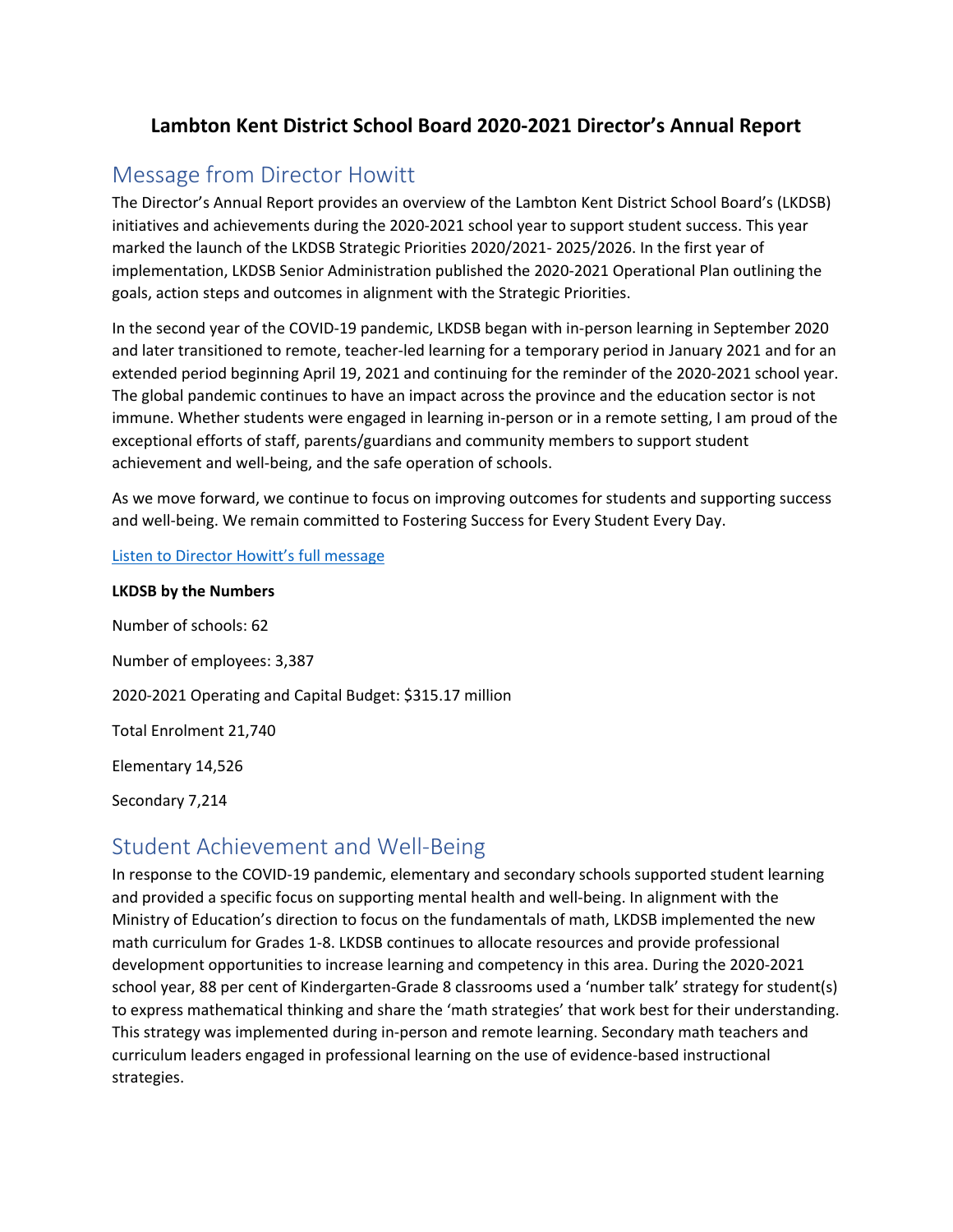# **Lambton Kent District School Board 2020-2021 Director's Annual Report**

# Message from Director Howitt

The Director's Annual Report provides an overview of the Lambton Kent District School Board's (LKDSB) initiatives and achievements during the 2020-2021 school year to support student success. This year marked the launch of the LKDSB Strategic Priorities 2020/2021- 2025/2026. In the first year of implementation, LKDSB Senior Administration published the 2020-2021 Operational Plan outlining the goals, action steps and outcomes in alignment with the Strategic Priorities.

In the second year of the COVID-19 pandemic, LKDSB began with in-person learning in September 2020 and later transitioned to remote, teacher-led learning for a temporary period in January 2021 and for an extended period beginning April 19, 2021 and continuing for the reminder of the 2020-2021 school year. The global pandemic continues to have an impact across the province and the education sector is not immune. Whether students were engaged in learning in-person or in a remote setting, I am proud of the exceptional efforts of staff, parents/guardians and community members to support student achievement and well-being, and the safe operation of schools.

As we move forward, we continue to focus on improving outcomes for students and supporting success and well-being. We remain committed to Fostering Success for Every Student Every Day.

#### [Listen to Director Howitt's full message](https://www.youtube.com/watch?v=7AIykS63bL8&ab_channel=LambtonKentDistrictSchoolBoard)

## **LKDSB by the Numbers**

Number of schools: 62 Number of employees: 3,387 2020-2021 Operating and Capital Budget: \$315.17 million Total Enrolment 21,740 Elementary 14,526 Secondary 7,214

# Student Achievement and Well-Being

In response to the COVID-19 pandemic, elementary and secondary schools supported student learning and provided a specific focus on supporting mental health and well-being. In alignment with the Ministry of Education's direction to focus on the fundamentals of math, LKDSB implemented the new math curriculum for Grades 1-8. LKDSB continues to allocate resources and provide professional development opportunities to increase learning and competency in this area. During the 2020-2021 school year, 88 per cent of Kindergarten-Grade 8 classrooms used a 'number talk' strategy for student(s) to express mathematical thinking and share the 'math strategies' that work best for their understanding. This strategy was implemented during in-person and remote learning. Secondary math teachers and curriculum leaders engaged in professional learning on the use of evidence-based instructional strategies.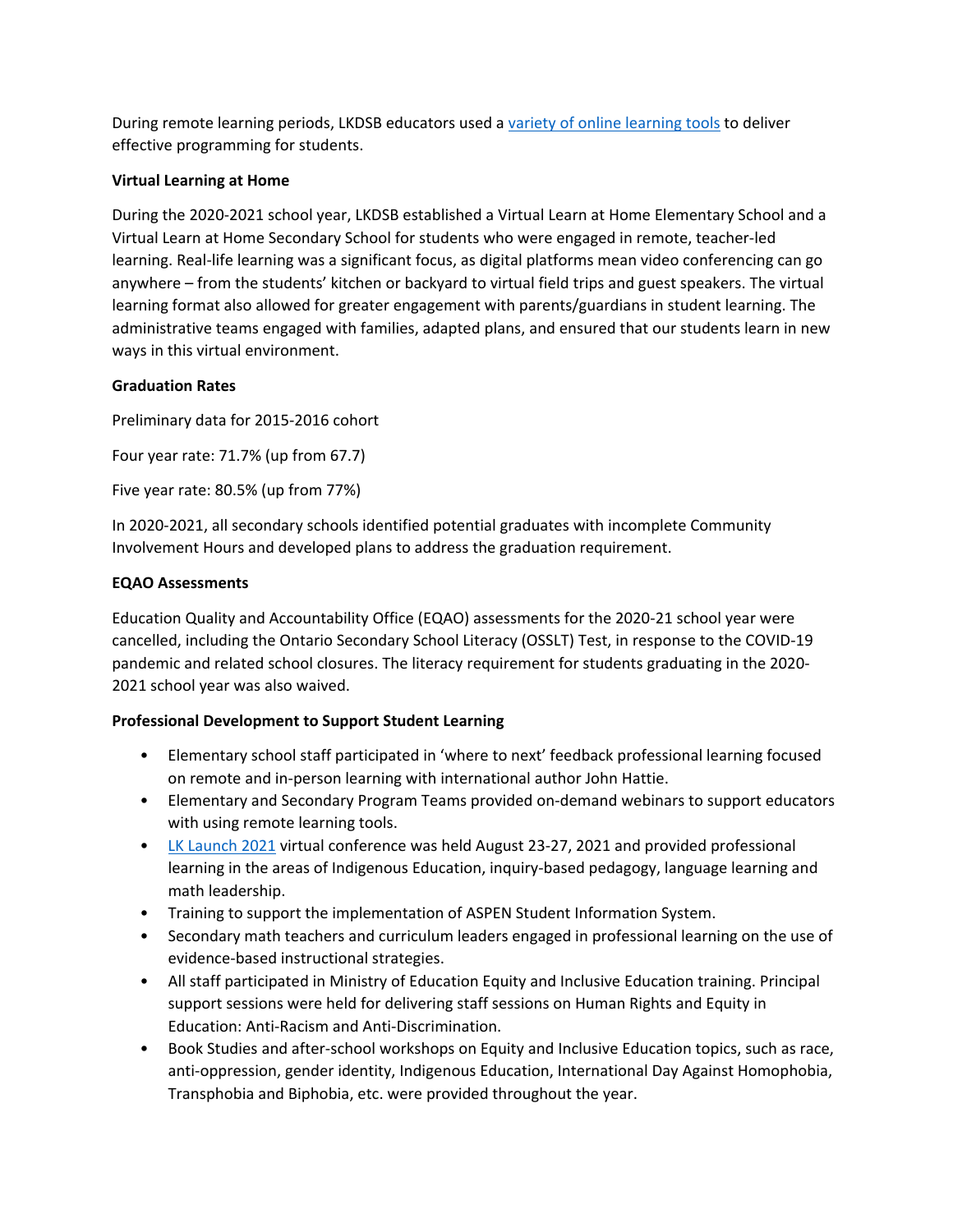During remote learning periods, LKDSB educators used [a variety of online learning tools](https://www.lkdsb.net/Board/BoardMeetings/2021%20Board%20Meetings/January%2026%2c%202021%20Regular%20Board%20Agenda%20Posted.pdf) to deliver effective programming for students.

### **Virtual Learning at Home**

During the 2020-2021 school year, LKDSB established a Virtual Learn at Home Elementary School and a Virtual Learn at Home Secondary School for students who were engaged in remote, teacher-led learning. Real-life learning was a significant focus, as digital platforms mean video conferencing can go anywhere – from the students' kitchen or backyard to virtual field trips and guest speakers. The virtual learning format also allowed for greater engagement with parents/guardians in student learning. The administrative teams engaged with families, adapted plans, and ensured that our students learn in new ways in this virtual environment.

#### **Graduation Rates**

Preliminary data for 2015-2016 cohort

Four year rate: 71.7% (up from 67.7)

Five year rate: 80.5% (up from 77%)

In 2020-2021, all secondary schools identified potential graduates with incomplete Community Involvement Hours and developed plans to address the graduation requirement.

#### **EQAO Assessments**

Education Quality and Accountability Office (EQAO) assessments for the 2020-21 school year were cancelled, including the Ontario Secondary School Literacy (OSSLT) Test, in response to the COVID-19 pandemic and related school closures. The literacy requirement for students graduating in the 2020- 2021 school year was also waived.

#### **Professional Development to Support Student Learning**

- Elementary school staff participated in 'where to next' feedback professional learning focused on remote and in-person learning with international author John Hattie.
- Elementary and Secondary Program Teams provided on-demand webinars to support educators with using remote learning tools.
- [LK Launch 2021](https://lkelempro.blogspot.com/search/label/LKLaunch) virtual conference was held August 23-27, 2021 and provided professional learning in the areas of Indigenous Education, inquiry-based pedagogy, language learning and math leadership.
- Training to support the implementation of ASPEN Student Information System.
- Secondary math teachers and curriculum leaders engaged in professional learning on the use of evidence-based instructional strategies.
- All staff participated in Ministry of Education Equity and Inclusive Education training. Principal support sessions were held for delivering staff sessions on Human Rights and Equity in Education: Anti-Racism and Anti-Discrimination.
- Book Studies and after-school workshops on Equity and Inclusive Education topics, such as race, anti-oppression, gender identity, Indigenous Education, International Day Against Homophobia, Transphobia and Biphobia, etc. were provided throughout the year.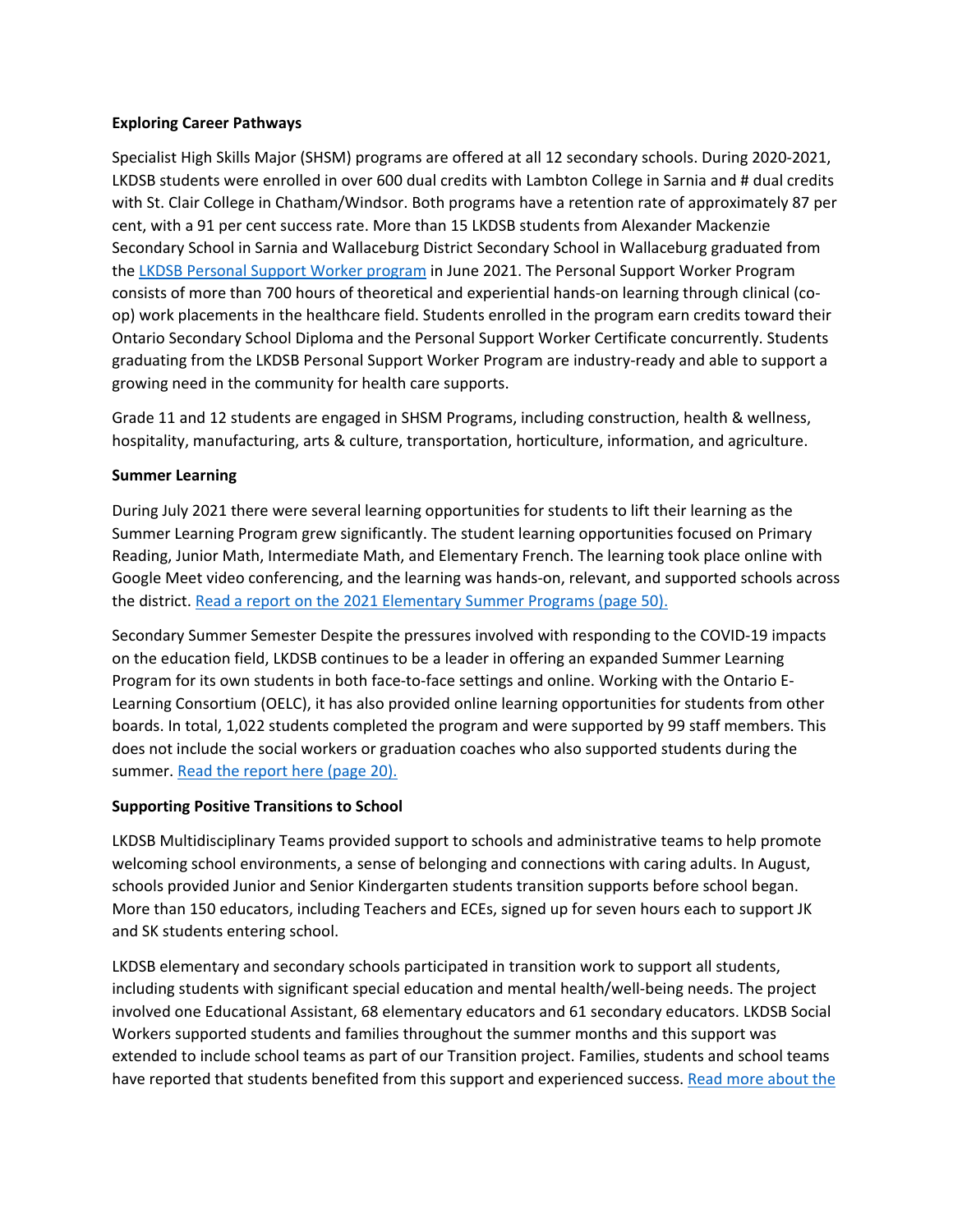#### **Exploring Career Pathways**

Specialist High Skills Major (SHSM) programs are offered at all 12 secondary schools. During 2020-2021, LKDSB students were enrolled in over 600 dual credits with Lambton College in Sarnia and # dual credits with St. Clair College in Chatham/Windsor. Both programs have a retention rate of approximately 87 per cent, with a 91 per cent success rate. More than 15 LKDSB students from Alexander Mackenzie Secondary School in Sarnia and Wallaceburg District Secondary School in Wallaceburg graduated from the [LKDSB Personal Support Worker program](https://www.lkdsb.net/pages/newsitem.aspx?ItemID=454&ListID=1cb83139-1d39-452b-8ab2-b6cfab6c2ba7&TemplateID=Announcement_Item#/=) in June 2021. The Personal Support Worker Program consists of more than 700 hours of theoretical and experiential hands-on learning through clinical (coop) work placements in the healthcare field. Students enrolled in the program earn credits toward their Ontario Secondary School Diploma and the Personal Support Worker Certificate concurrently. Students graduating from the LKDSB Personal Support Worker Program are industry-ready and able to support a growing need in the community for health care supports.

Grade 11 and 12 students are engaged in SHSM Programs, including construction, health & wellness, hospitality, manufacturing, arts & culture, transportation, horticulture, information, and agriculture.

#### **Summer Learning**

During July 2021 there were several learning opportunities for students to lift their learning as the Summer Learning Program grew significantly. The student learning opportunities focused on Primary Reading, Junior Math, Intermediate Math, and Elementary French. The learning took place online with Google Meet video conferencing, and the learning was hands-on, relevant, and supported schools across the district[. Read a report on the 2021 Elementary Summer Programs \(page 50\).](https://www.lkdsb.net/Board/PoliciesRegulations/Policies/Public%20Agenda%20Package%20Sept.%2028%202021.pdf)

Secondary Summer Semester Despite the pressures involved with responding to the COVID-19 impacts on the education field, LKDSB continues to be a leader in offering an expanded Summer Learning Program for its own students in both face-to-face settings and online. Working with the Ontario E-Learning Consortium (OELC), it has also provided online learning opportunities for students from other boards. In total, 1,022 students completed the program and were supported by 99 staff members. This does not include the social workers or graduation coaches who also supported students during the summer. [Read the report here \(page 20\).](https://www.lkdsb.net/Board/PoliciesRegulations/Policies/Agenda%20Public%20September%2014.pdf)

#### **Supporting Positive Transitions to School**

LKDSB Multidisciplinary Teams provided support to schools and administrative teams to help promote welcoming school environments, a sense of belonging and connections with caring adults. In August, schools provided Junior and Senior Kindergarten students transition supports before school began. More than 150 educators, including Teachers and ECEs, signed up for seven hours each to support JK and SK students entering school.

LKDSB elementary and secondary schools participated in transition work to support all students, including students with significant special education and mental health/well-being needs. The project involved one Educational Assistant, 68 elementary educators and 61 secondary educators. LKDSB Social Workers supported students and families throughout the summer months and this support was extended to include school teams as part of our Transition project. Families, students and school teams have reported that students benefited from this support and experienced success. [Read more about the](https://www.lkdsb.net/Board/PoliciesRegulations/Policies/Public%20Agenda%20Package%20Sept.%2028%202021.pdf)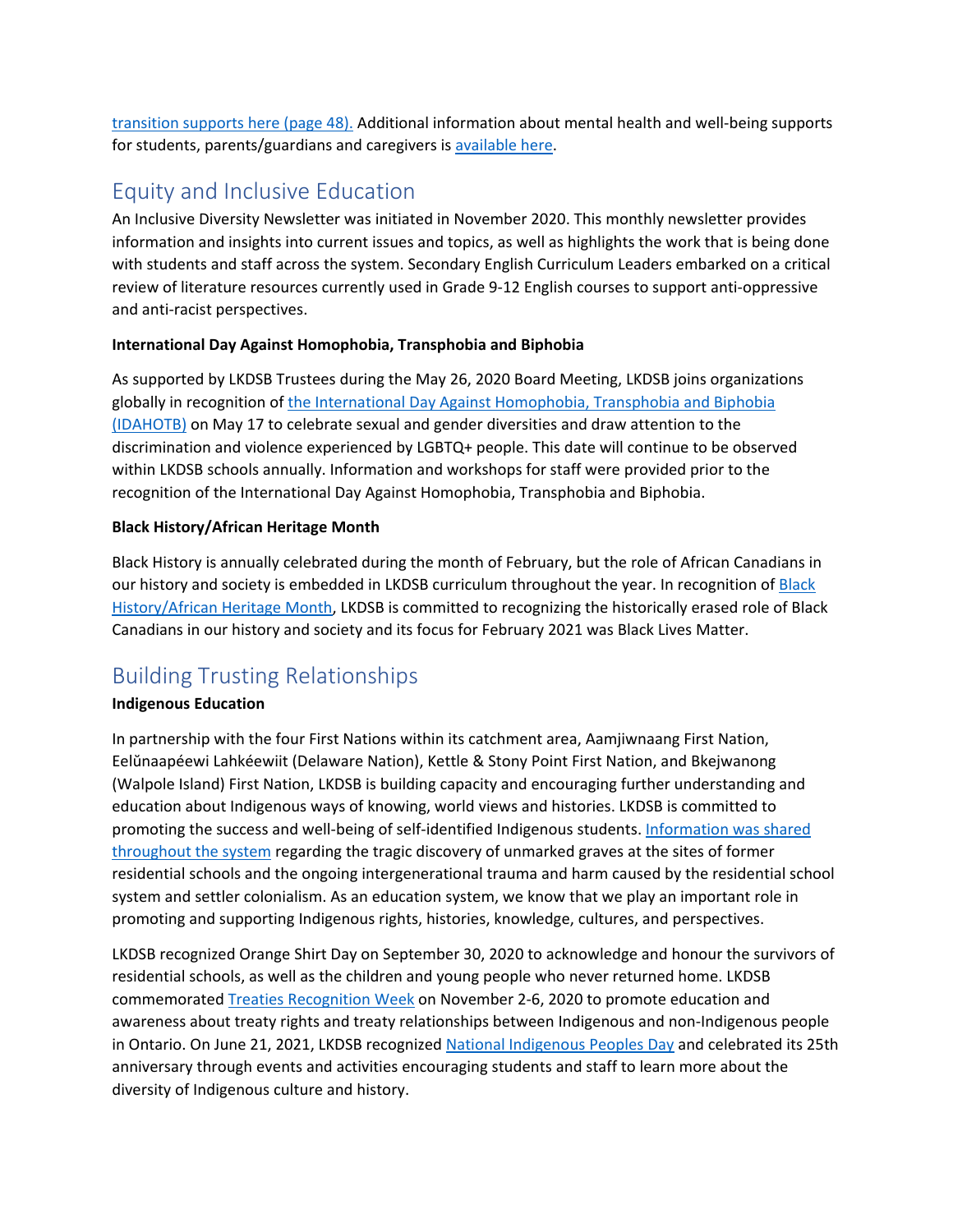[transition supports here \(page 48\).](https://www.lkdsb.net/Board/PoliciesRegulations/Policies/Public%20Agenda%20Package%20Sept.%2028%202021.pdf) Additional information about mental health and well-being supports for students, parents/guardians and caregivers i[s available here.](https://www.lkdsb.net/Board/Community/MentalHealth/Pages/default.aspx#/=)

# Equity and Inclusive Education

An Inclusive Diversity Newsletter was initiated in November 2020. This monthly newsletter provides information and insights into current issues and topics, as well as highlights the work that is being done with students and staff across the system. Secondary English Curriculum Leaders embarked on a critical review of literature resources currently used in Grade 9-12 English courses to support anti-oppressive and anti-racist perspectives.

## **International Day Against Homophobia, Transphobia and Biphobia**

As supported by LKDSB Trustees during the May 26, 2020 Board Meeting, LKDSB joins organizations globally in recognition of the International Day Against Homophobia, Transphobia and Biphobia [\(IDAHOTB\)](https://www.lkdsb.net/Lists/Announcements/DispForm.aspx?ID=435#/=) on May 17 to celebrate sexual and gender diversities and draw attention to the discrimination and violence experienced by LGBTQ+ people. This date will continue to be observed within LKDSB schools annually. Information and workshops for staff were provided prior to the recognition of the International Day Against Homophobia, Transphobia and Biphobia.

## **Black History/African Heritage Month**

Black History is annually celebrated during the month of February, but the role of African Canadians in our history and society is embedded in LKDSB curriculum throughout the year. In recognition o[f Black](https://www.lkdsb.net/Board/Community/EquityInclusiveEducation/Pages/Black-Heritage.aspx#/=)  [History/African Heritage Month,](https://www.lkdsb.net/Board/Community/EquityInclusiveEducation/Pages/Black-Heritage.aspx#/=) LKDSB is committed to recognizing the historically erased role of Black Canadians in our history and society and its focus for February 2021 was Black Lives Matter.

# Building Trusting Relationships

## **Indigenous Education**

In partnership with the four First Nations within its catchment area, Aamjiwnaang First Nation, Eelŭnaapéewi Lahkéewiit (Delaware Nation), Kettle & Stony Point First Nation, and Bkejwanong (Walpole Island) First Nation, LKDSB is building capacity and encouraging further understanding and education about Indigenous ways of knowing, world views and histories. LKDSB is committed to promoting the success and well-being of self-identified Indigenous students. [Information was shared](https://www.lkdsb.net/pages/newsitem.aspx?ItemID=448&ListID=1cb83139-1d39-452b-8ab2-b6cfab6c2ba7&TemplateID=Announcement_Item#/=)  [throughout the system](https://www.lkdsb.net/pages/newsitem.aspx?ItemID=448&ListID=1cb83139-1d39-452b-8ab2-b6cfab6c2ba7&TemplateID=Announcement_Item#/=) regarding the tragic discovery of unmarked graves at the sites of former residential schools and the ongoing intergenerational trauma and harm caused by the residential school system and settler colonialism. As an education system, we know that we play an important role in promoting and supporting Indigenous rights, histories, knowledge, cultures, and perspectives.

LKDSB recognized Orange Shirt Day on September 30, 2020 to acknowledge and honour the survivors of residential schools, as well as the children and young people who never returned home. LKDSB commemorate[d Treaties Recognition Week](https://www.lkdsb.net/Lists/Announcements/DispForm.aspx?ID=386#/=) on November 2-6, 2020 to promote education and awareness about treaty rights and treaty relationships between Indigenous and non-Indigenous people in Ontario. On June 21, 2021, LKDSB recognize[d National Indigenous Peoples Day](https://www.lkdsb.net/Lists/Announcements/DispForm.aspx?ID=445#/=) and celebrated its 25th anniversary through events and activities encouraging students and staff to learn more about the diversity of Indigenous culture and history.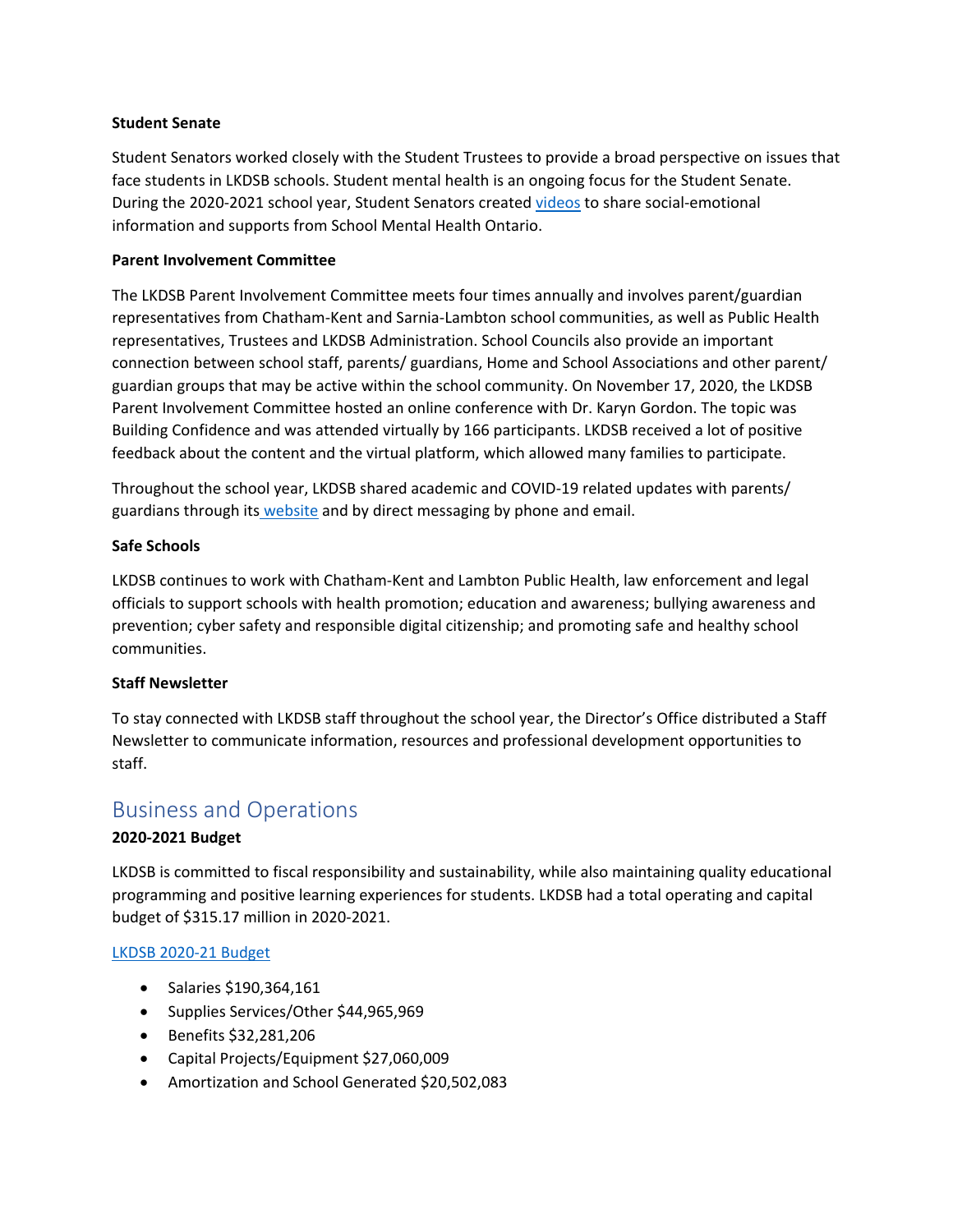#### **Student Senate**

Student Senators worked closely with the Student Trustees to provide a broad perspective on issues that face students in LKDSB schools. Student mental health is an ongoing focus for the Student Senate. During the 2020-2021 school year, Student Senators created [videos](https://www.lkdsb.net/Board/Community/MentalHealth/videos/Pages/default.aspx#/=) to share social-emotional information and supports from School Mental Health Ontario.

#### **Parent Involvement Committee**

The LKDSB Parent Involvement Committee meets four times annually and involves parent/guardian representatives from Chatham-Kent and Sarnia-Lambton school communities, as well as Public Health representatives, Trustees and LKDSB Administration. School Councils also provide an important connection between school staff, parents/ guardians, Home and School Associations and other parent/ guardian groups that may be active within the school community. On November 17, 2020, the LKDSB Parent Involvement Committee hosted an online conference with Dr. Karyn Gordon. The topic was Building Confidence and was attended virtually by 166 participants. LKDSB received a lot of positive feedback about the content and the virtual platform, which allowed many families to participate.

Throughout the school year, LKDSB shared academic and COVID-19 related updates with parents/ guardians through its [website](https://www.lkdsb.net/Board/Community/PublicHealth/parent-guardian-resources/Pages/default.aspx#/=) and by direct messaging by phone and email.

#### **Safe Schools**

LKDSB continues to work with Chatham-Kent and Lambton Public Health, law enforcement and legal officials to support schools with health promotion; education and awareness; bullying awareness and prevention; cyber safety and responsible digital citizenship; and promoting safe and healthy school communities.

#### **Staff Newsletter**

To stay connected with LKDSB staff throughout the school year, the Director's Office distributed a Staff Newsletter to communicate information, resources and professional development opportunities to staff.

## Business and Operations

#### **2020-2021 Budget**

LKDSB is committed to fiscal responsibility and sustainability, while also maintaining quality educational programming and positive learning experiences for students. LKDSB had a total operating and capital budget of \$315.17 million in 2020-2021.

#### [LKDSB 2020-21 Budget](https://www.lkdsb.net/Board/BudgetFinance/Documents/2020-21%20Budget%20Information.pdf)

- Salaries \$190,364,161
- Supplies Services/Other \$44,965,969
- Benefits \$32,281,206
- Capital Projects/Equipment \$27,060,009
- Amortization and School Generated \$20,502,083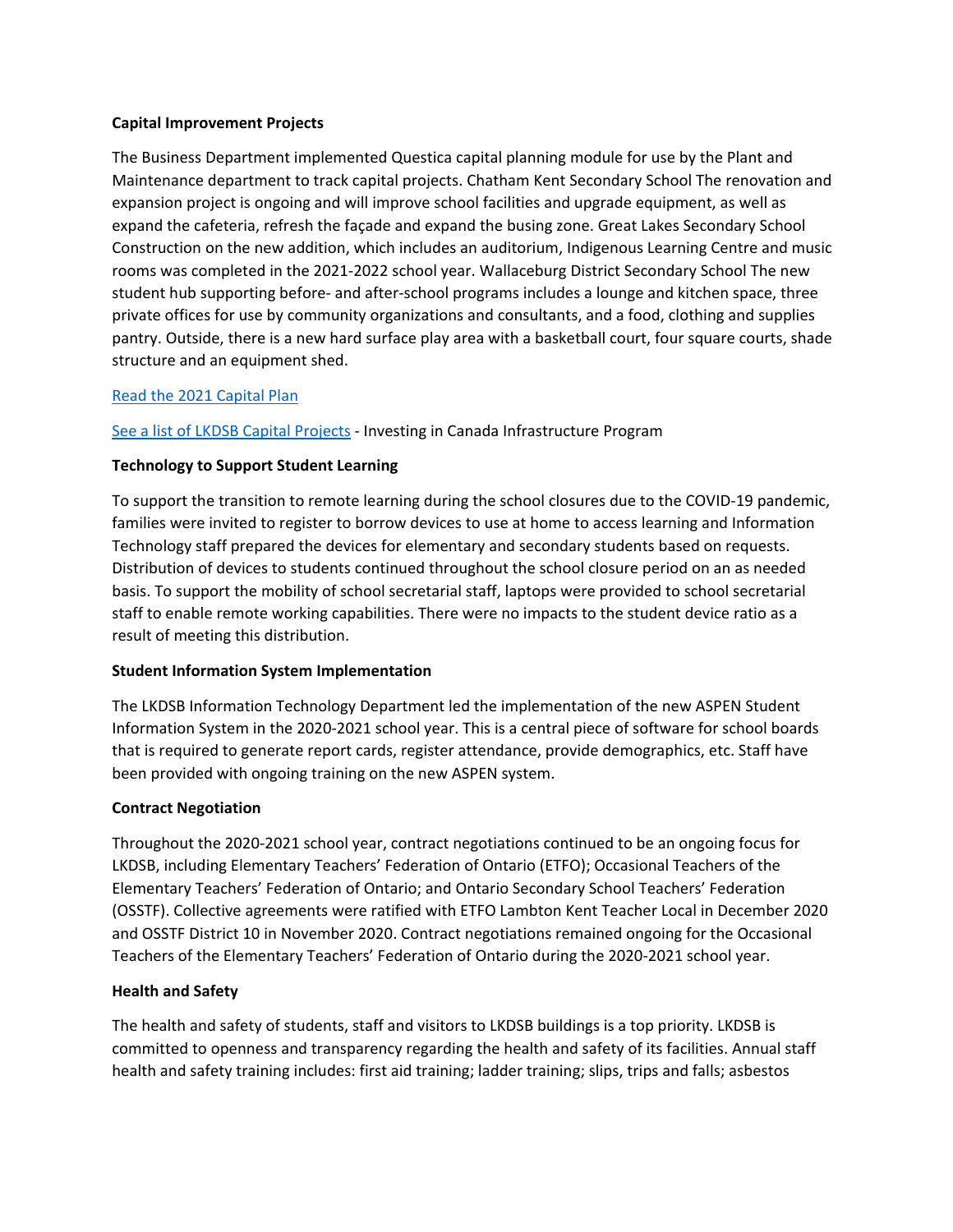#### **Capital Improvement Projects**

The Business Department implemented Questica capital planning module for use by the Plant and Maintenance department to track capital projects. Chatham Kent Secondary School The renovation and expansion project is ongoing and will improve school facilities and upgrade equipment, as well as expand the cafeteria, refresh the façade and expand the busing zone. Great Lakes Secondary School Construction on the new addition, which includes an auditorium, Indigenous Learning Centre and music rooms was completed in the 2021-2022 school year. Wallaceburg District Secondary School The new student hub supporting before- and after-school programs includes a lounge and kitchen space, three private offices for use by community organizations and consultants, and a food, clothing and supplies pantry. Outside, there is a new hard surface play area with a basketball court, four square courts, shade structure and an equipment shed.

#### [Read the 2021 Capital Plan](https://www.lkdsb.net/Board/AccommodationReview/Documents/Capital%20Plan%202021%20-%20V4%20FINAL%20VERSION.pdf)

[See a list of LKDSB Capital Projects](https://www.lkdsb.net/Pages/newsitem.aspx?ItemID=461&ListID=1cb83139-1d39-452b-8ab2-b6cfab6c2ba7&TemplateID=Announcement_Item#/=) - Investing in Canada Infrastructure Program

#### **Technology to Support Student Learning**

To support the transition to remote learning during the school closures due to the COVID-19 pandemic, families were invited to register to borrow devices to use at home to access learning and Information Technology staff prepared the devices for elementary and secondary students based on requests. Distribution of devices to students continued throughout the school closure period on an as needed basis. To support the mobility of school secretarial staff, laptops were provided to school secretarial staff to enable remote working capabilities. There were no impacts to the student device ratio as a result of meeting this distribution.

#### **Student Information System Implementation**

The LKDSB Information Technology Department led the implementation of the new ASPEN Student Information System in the 2020-2021 school year. This is a central piece of software for school boards that is required to generate report cards, register attendance, provide demographics, etc. Staff have been provided with ongoing training on the new ASPEN system.

#### **Contract Negotiation**

Throughout the 2020-2021 school year, contract negotiations continued to be an ongoing focus for LKDSB, including Elementary Teachers' Federation of Ontario (ETFO); Occasional Teachers of the Elementary Teachers' Federation of Ontario; and Ontario Secondary School Teachers' Federation (OSSTF). Collective agreements were ratified with ETFO Lambton Kent Teacher Local in December 2020 and OSSTF District 10 in November 2020. Contract negotiations remained ongoing for the Occasional Teachers of the Elementary Teachers' Federation of Ontario during the 2020-2021 school year.

#### **Health and Safety**

The health and safety of students, staff and visitors to LKDSB buildings is a top priority. LKDSB is committed to openness and transparency regarding the health and safety of its facilities. Annual staff health and safety training includes: first aid training; ladder training; slips, trips and falls; asbestos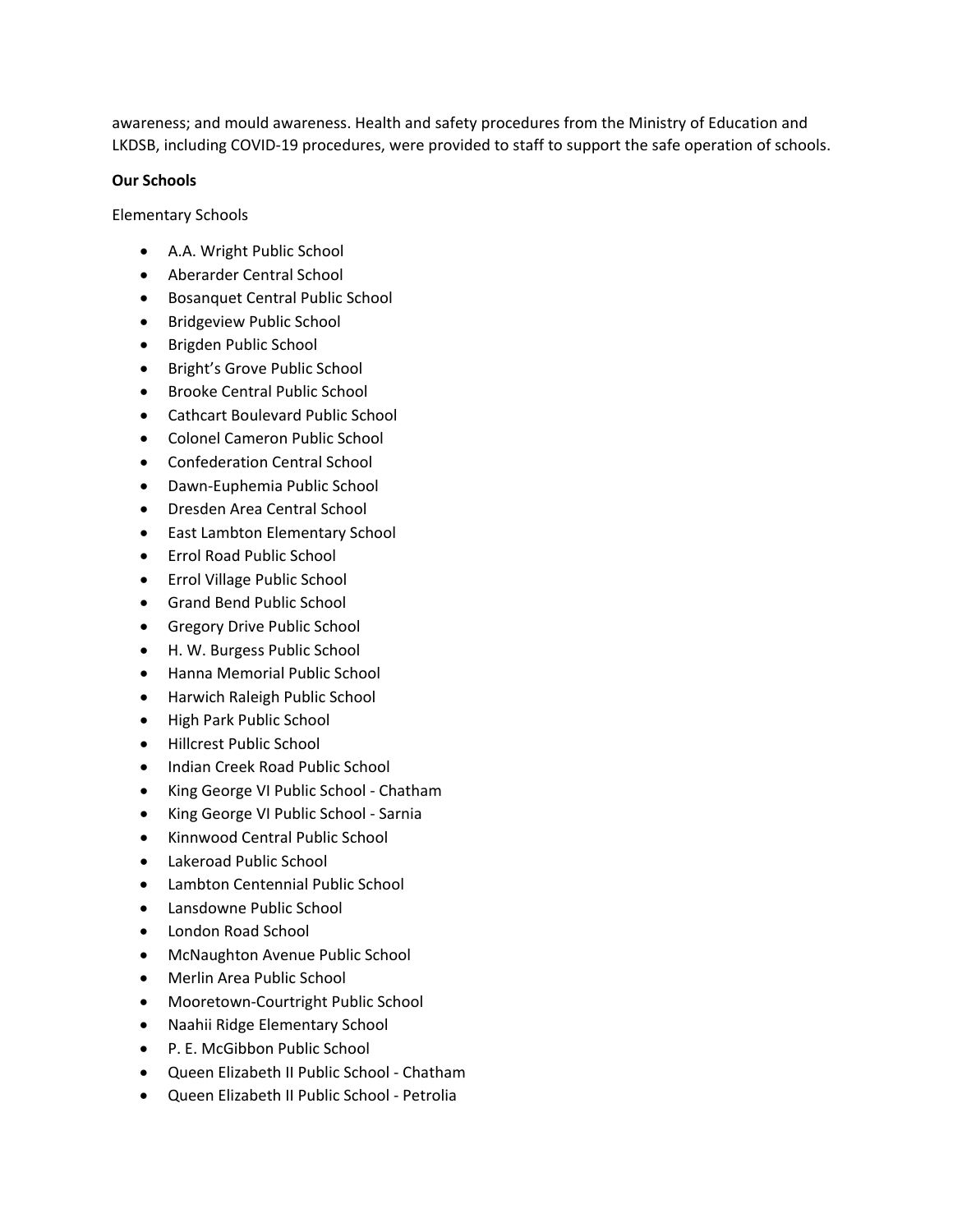awareness; and mould awareness. Health and safety procedures from the Ministry of Education and LKDSB, including COVID-19 procedures, were provided to staff to support the safe operation of schools.

#### **Our Schools**

Elementary Schools

- A.A. Wright Public School
- Aberarder Central School
- Bosanquet Central Public School
- Bridgeview Public School
- Brigden Public School
- Bright's Grove Public School
- Brooke Central Public School
- Cathcart Boulevard Public School
- Colonel Cameron Public School
- Confederation Central School
- Dawn-Euphemia Public School
- Dresden Area Central School
- East Lambton Elementary School
- Errol Road Public School
- Errol Village Public School
- Grand Bend Public School
- Gregory Drive Public School
- H. W. Burgess Public School
- Hanna Memorial Public School
- Harwich Raleigh Public School
- High Park Public School
- Hillcrest Public School
- Indian Creek Road Public School
- King George VI Public School Chatham
- King George VI Public School Sarnia
- Kinnwood Central Public School
- Lakeroad Public School
- Lambton Centennial Public School
- Lansdowne Public School
- London Road School
- McNaughton Avenue Public School
- Merlin Area Public School
- Mooretown-Courtright Public School
- Naahii Ridge Elementary School
- P. E. McGibbon Public School
- Queen Elizabeth II Public School Chatham
- Queen Elizabeth II Public School Petrolia